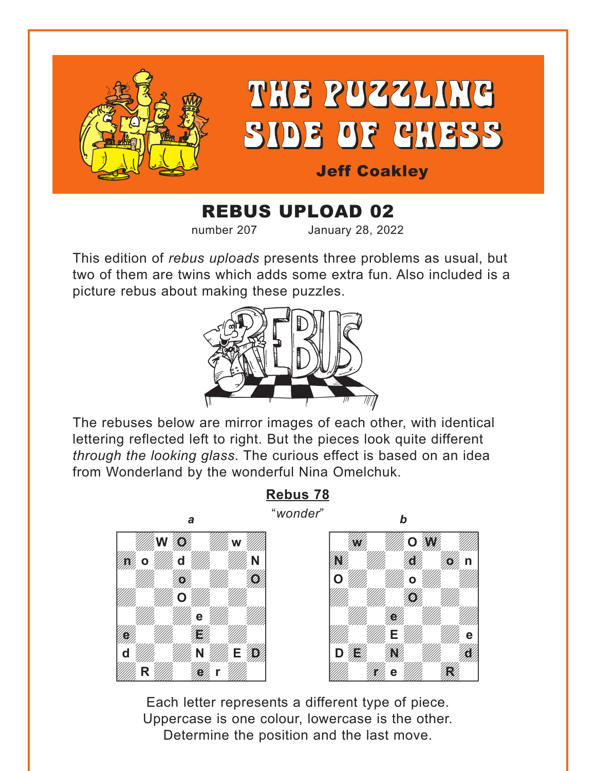<span id="page-0-0"></span>

# REBUS UPLOAD 02

number 207 January 28, 2022

This edition of *rebus uploads* presents three problems as usual, but two of them are twins which adds some extra fun. Also included is a picture rebus about making these puzzles.



The rebuses below are mirror images of each other, with identical lettering reflected left to right. But the pieces look quite different *through the looking glass*. The curious effect is based on an idea from Wonderland by the wonderful Nina Omelchuk.



**[Rebus 78](#page-4-0)**



Each letter represents a different type of piece. Uppercase is one colour, lowercase is the other. Determine the position and the last move.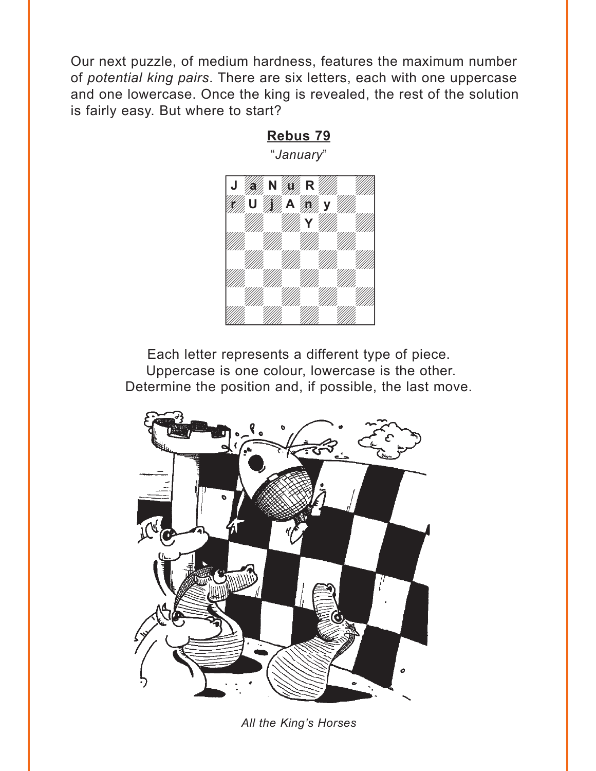<span id="page-1-0"></span>Our next puzzle, of medium hardness, features the maximum number of *potential king pairs*. There are six letters, each with one uppercase and one lowercase. Once the king is revealed, the rest of the solution is fairly easy. But where to start?

**[Rebus 79](#page-6-0)**

#### "*January*"  $\frac{1}{\sqrt{1-\frac{1}{2}}\sqrt{1-\frac{1}{2}}\sqrt{1-\frac{1}{2}}\sqrt{1-\frac{1}{2}}\sqrt{1-\frac{1}{2}}\sqrt{1-\frac{1}{2}}\sqrt{1-\frac{1}{2}}\sqrt{1-\frac{1}{2}}\sqrt{1-\frac{1}{2}}\sqrt{1-\frac{1}{2}}\sqrt{1-\frac{1}{2}}\sqrt{1-\frac{1}{2}}\sqrt{1-\frac{1}{2}}\sqrt{1-\frac{1}{2}}\sqrt{1-\frac{1}{2}}\sqrt{1-\frac{1}{2}}\sqrt{1-\frac{1}{2}}\sqrt{1-\frac{1}{2}}\sqrt{1-\frac{1}{2}}\sqrt{1-\frac$ **J** *May* **N <b>A** *r U W* A W y W  $\mathbf{Y}$  and  $\mathbf{W}$ a katika a katika a katika a katika a katika a katika a katika a katika a katika a katika a katika a katika a a wakazi wakazi wakazi wakazi wakazi wakazi wakazi wakazi wakazi wa wakazi wa wakazi wakazi wakazi wakazi waka and the contract of the contract of the contract of the contract of the contract of the contract of the contract of the contract of the contract of the contract of the contract of the contract of the contract of the contra [wdwdwdwd] and the contract of the contract of the contract of the contract of the contract of the contract of the contract of the contract of the contract of the contract of the contract of the contract of the contract of the contra week and the second control of the second control of the second control of the second control of the second control of the second control of the second control of the second control of the second control of the second cont **Y**

Each letter represents a different type of piece. Uppercase is one colour, lowercase is the other. Determine the position and, if possible, the last move.



*All the King's Horses*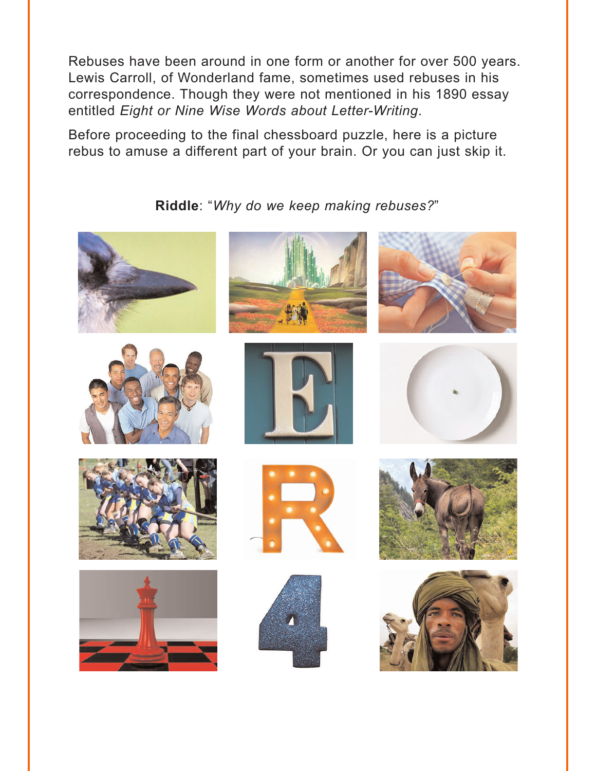<span id="page-2-0"></span>Rebuses have been around in one form or another for over 500 years. Lewis Carroll, of Wonderland fame, sometimes used rebuses in his correspondence. Though they were not mentioned in his 1890 essay entitled *Eight or Nine Wise Words about Letter-Writing*.

Before proceeding to the final chessboard puzzle, here is a picture rebus to amuse a different part of your brain. Or you can just skip it.

#### **Riddle**: "*[Why do we keep making rebuses?](#page-7-0)*"

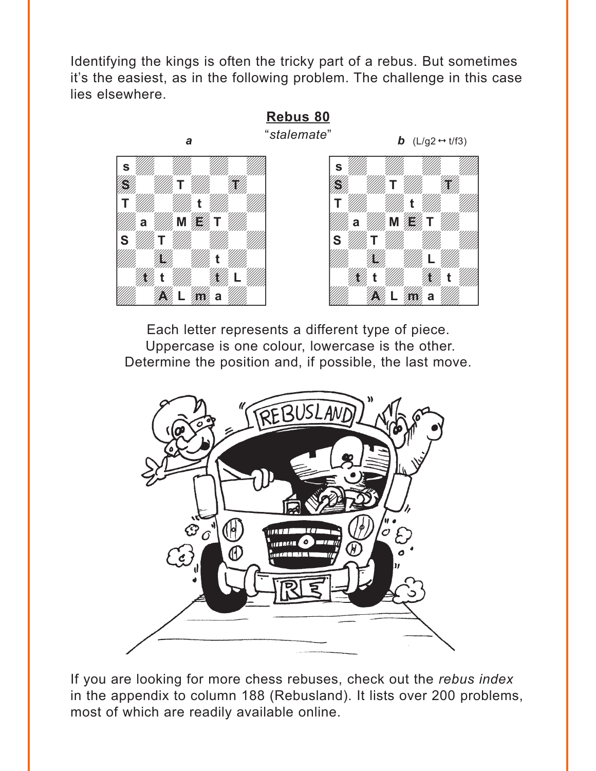<span id="page-3-0"></span>Identifying the kings is often the tricky part of a rebus. But sometimes it's the easiest, as in the following problem. The challenge in this case lies elsewhere.

**[Rebus 80](#page-7-0)**





Each letter represents a different type of piece. Uppercase is one colour, lowercase is the other. Determine the position and, if possible, the last move.



If you are looking for more chess rebuses, check out the *rebus index* in the appendix to column 188 (Rebusland). It lists over 200 problems, most of which are readily available online.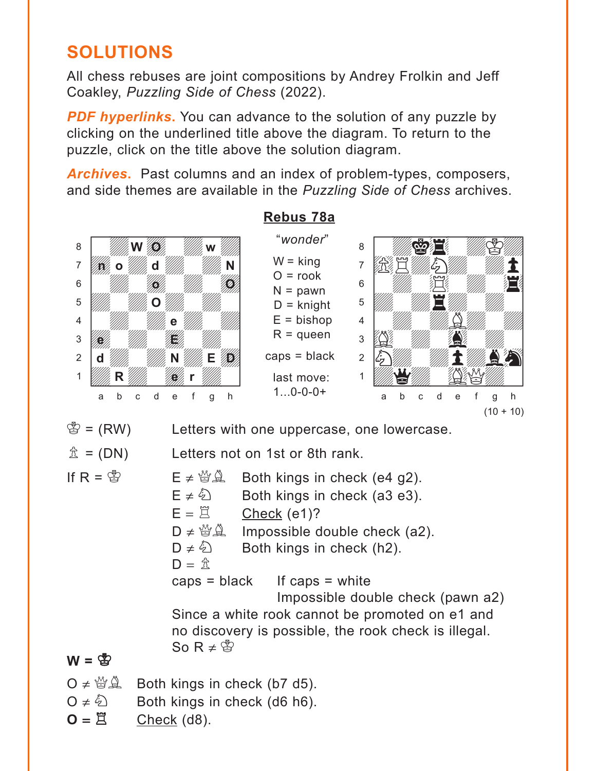# <span id="page-4-0"></span>**SOLUTIONS**

All chess rebuses are joint compositions by Andrey Frolkin and Jeff Coakley, *Puzzling Side of Chess* (2022).

**PDF hyperlinks.** You can advance to the solution of any puzzle by clicking on the underlined title above the diagram. To return to the puzzle, click on the title above the solution diagram.

*Archives***.** Past columns and an index of problem-types, composers, and side themes are available in the *Puzzling Side of Chess* archives.



#### $Q \neq \bigcirc$  Both kings in check (d6 h6).

 $O = \vec{E}$  Check (d8).

#### **[Rebus 78a](#page-0-0)**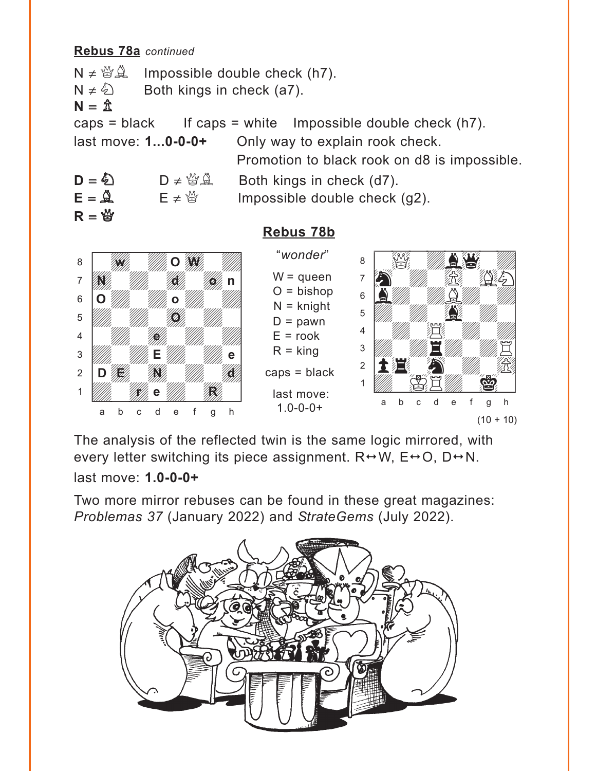#### **Rebus 78a** *continued*

 $N \neq \mathcal{B} \mathcal{A}$  Impossible double check (h7).  $N \neq \&$  Both kings in check (a7).  $N = \mathbb{Z}$ caps = black If caps = white Impossible double check  $(h7)$ . last move: **1...0-0-0+** Only way to explain rook check. Promotion to black rook on d8 is impossible.

 $D = \bigotimes$   $D \neq \bigotimes^{\omega} \bigotimes$  Both kings in check (d7).  $R = 2$ 

 $E = \mathbf{A}$  E  $\neq \mathbf{B}$  Impossible double check (g2).



### **[Rebus 78b](#page-0-0)**



 $(10 + 10)$ 

The analysis of the reflected twin is the same logic mirrored, with every letter switching its piece assignment.  $R \leftrightarrow W$ ,  $E \leftrightarrow O$ ,  $D \leftrightarrow N$ . last move: **1.0-0-0+**

Two more mirror rebuses can be found in these great magazines: *Problemas 37* (January 2022) and *StrateGems* (July 2022).

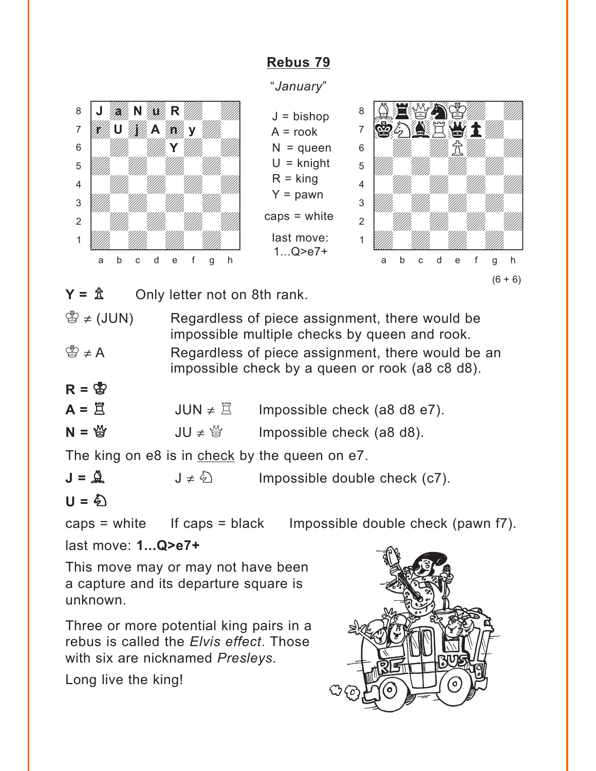### **[Rebus 79](#page-1-0)**

"*January*"

 $J = b$ ishop  $A = \text{rook}$  $N =$ queen  $U =$  knight  $R =$ king  $Y =$  pawn

caps = white

last move: 1...Q>e7+

<span id="page-6-0"></span>

where  $\frac{1}{2}$  and  $\frac{1}{2}$  and  $\frac{1}{2}$  and  $\frac{1}{2}$  and  $\frac{1}{2}$ áB4QhKdwd]  $7$   $\omega$   $\sim$   $1$   $\omega$   $1$  $\mathcal{S} = \mathcal{S}$  and  $\mathcal{S} = \mathcal{S}$  and  $\mathcal{S} = \mathcal{S}$  $\overline{\mathcal{L}}$ 4 William William William William  $\frac{1}{\sqrt{2}}$ 2 | *William William William William 1* 1 *Udwarddwrd William William Corporation Corporation Corporation Corporation Corporation Corporation Corporation* a b c d e f g h  $(6 + 6)$ 

 $Y = \hat{\mathbb{Z}}$  Only letter not on 8th rank.

 $\mathbb{B} \neq$  (JUN) Regardless of piece assignment, there would be impossible multiple checks by queen and rook.  $\mathbb{B} \neq A$  Regardless of piece assignment, there would be an impossible check by a queen or rook (a8 c8 d8).

|  |  | ۰. |
|--|--|----|
|--|--|----|

| $A = \overline{a}$ | $JUN \neq \mathbb{Z}$ | Impossible check (a8 d8 e7). |
|--------------------|-----------------------|------------------------------|
| $N = \frac{M}{2}$  | $JU \neq \frac{M}{M}$ | Impossible check (a8 d8).    |

The king on e8 is in check by the queen on e7.

 $J = \mathbf{A}$   $J \neq \mathbf{B}$  Impossible double check (c7).

$$
U = \mathcal{L}
$$

caps = white If caps = black Impossible double check (pawn  $f$ 7).

last move: **1...Q>e7+**

This move may or may not have been a capture and its departure square is unknown.

Three or more potential king pairs in a rebus is called the *Elvis effect*. Those with six are nicknamed *Presleys*.

Long live the king!

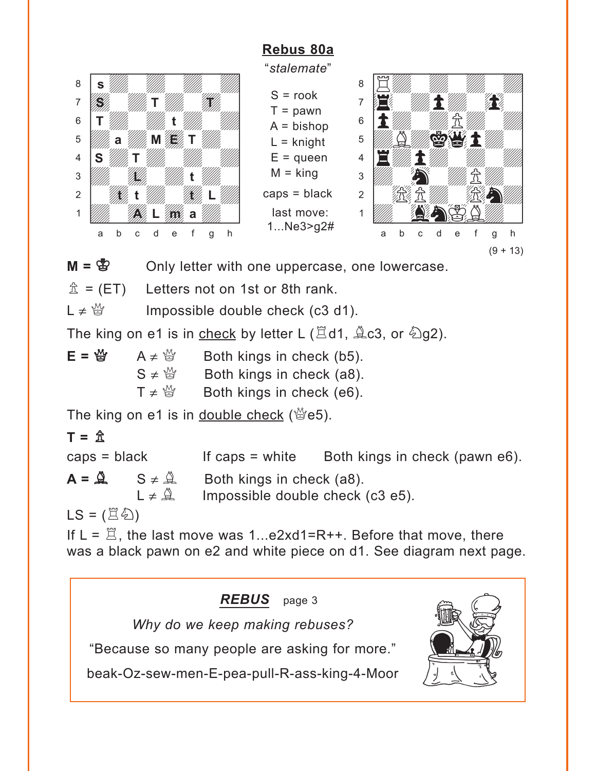## **[Rebus 80a](#page-3-0)**

<span id="page-7-0"></span>

"*stalemate*"

 $S = \text{rook}$  $T =$  pawn  $A = b$ ishop  $L =$  knight  $E =$ queen  $M =$ king caps = black last move: 1...Ne3>g2#



 $M = \mathcal{B}$  Only letter with one uppercase, one lowercase.

 $\hat{\mathbb{Z}}$  = (ET) Letters not on 1st or 8th rank.

 $L \neq \frac{M}{Q}$  Impossible double check (c3 d1).

The king on e1 is in check by letter L ( $\Xi$ d1,  $\angle$  c3, or  $\angle$ g2).

 $E = \frac{M}{Q}$  A  $\neq \frac{M}{Q}$  Both kings in check (b5).  $S \neq \mathcal{L}$  Both kings in check (a8).  $T \neq \frac{M}{Q}$  Both kings in check (e6).

The king on e1 is in double check ( $\mathcal{L}$ e5).

## $T = \hat{X}$

 $caps = black$  If caps = white Both kings in check (pawn e6).  $A = \mathbb{R}$   $S \neq \mathbb{R}$  Both kings in check (a8).  $L \neq \hat{A}$  Impossible double check (c3 e5).

 $LS = (\Xi \&)$ 

If  $L = \mathbb{Z}$ , the last move was 1...e2xd1=R++. Before that move, there was a black pawn on e2 and white piece on d1. See diagram next page.

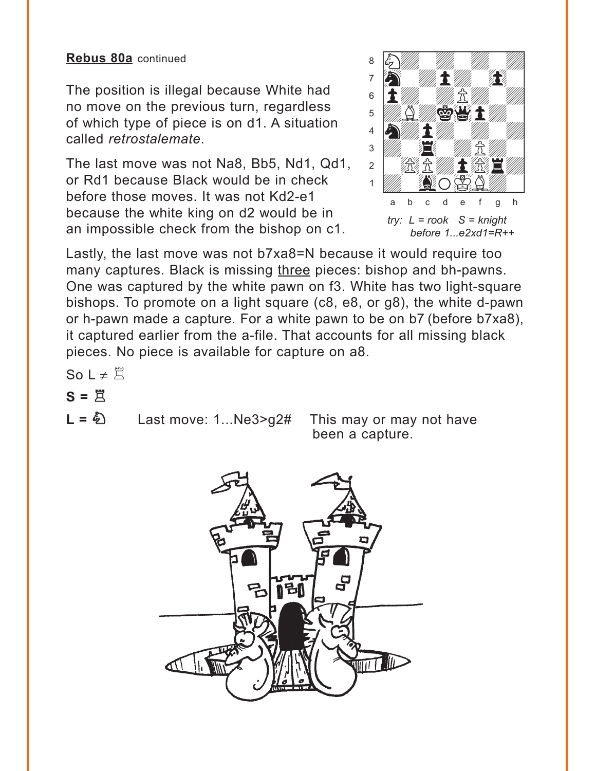#### **Rebus 80a** continued

The position is illegal because White had no move on the previous turn, regardless of which type of piece is on d1. A situation called *retrostalemate*.

The last move was not Na8, Bb5, Nd1, Qd1, or Rd1 because Black would be in check before those moves. It was not Kd2-e1 because the white king on d2 would be in an impossible check from the bishop on c1.



Lastly, the last move was not b7xa8=N because it would require too many captures. Black is missing three pieces: bishop and bh-pawns. One was captured by the white pawn on f3. White has two light-square bishops. To promote on a light square (c8, e8, or g8), the white d-pawn or h-pawn made a capture. For a white pawn to be on b7 (before b7xa8), it captured earlier from the a-file. That accounts for all missing black pieces. No piece is available for capture on a8.

So L  $\neq \Xi$ 

- $S = \overline{\Xi}$
- 

 $L = \&$  Last move: 1...Ne3>g2# This may or may not have been a capture.